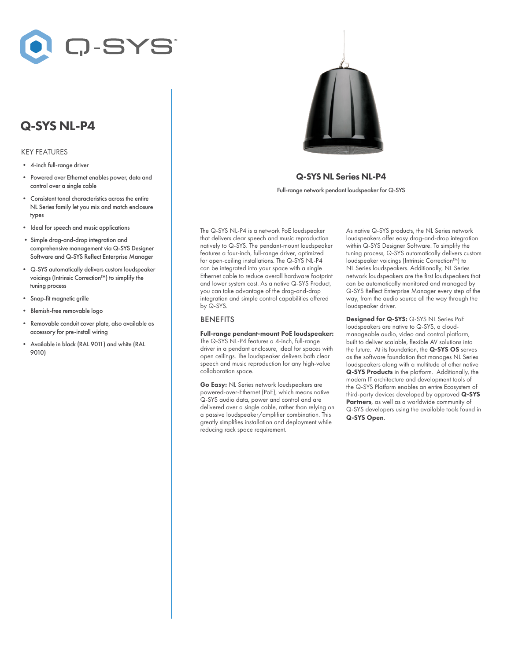

# Q-SYS NL-P4

#### KEY FEATURES

- 4-inch full-range driver
- Powered over Ethernet enables power, data and control over a single cable
- Consistent tonal characteristics across the entire NL Series family let you mix and match enclosure types
- Ideal for speech and music applications
- Simple drag-and-drop integration and comprehensive management via Q-SYS Designer Software and Q-SYS Reflect Enterprise Manager
- Q-SYS automatically delivers custom loudspeaker voicings (Intrinsic Correction™) to simplify the tuning process
- Snap-fit magnetic grille
- Blemish-free removable logo
- Removable conduit cover plate, also available as accessory for pre-install wiring
- Available in black (RAL 9011) and white (RAL 9010)



## Q-SYS NL Series NL-P4

Full-range network pendant loudspeaker for Q-SYS

The Q-SYS NL-P4 is a network PoE loudspeaker that delivers clear speech and music reproduction natively to Q-SYS. The pendant-mount loudspeaker features a four-inch, full-range driver, optimized for open-ceiling installations. The Q-SYS NL-P4 can be integrated into your space with a single Ethernet cable to reduce overall hardware footprint and lower system cost. As a native Q-SYS Product, you can take advantage of the drag-and-drop integration and simple control capabilities offered by Q-SYS.

### BENEFITS

Full-range pendant-mount PoE loudspeaker: The Q-SYS NL-P4 features a 4-inch, full-range driver in a pendant enclosure, ideal for spaces with open ceilings. The loudspeaker delivers both clear speech and music reproduction for any high-value collaboration space.

Go Easy: NL Series network loudspeakers are powered-over-Ethernet (PoE), which means native Q-SYS audio data, power and control and are delivered over a single cable, rather than relying on a passive loudspeaker/amplifier combination. This greatly simplifies installation and deployment while reducing rack space requirement.

As native Q-SYS products, the NL Series network loudspeakers offer easy drag-and-drop integration within Q-SYS Designer Software. To simplify the tuning process, Q-SYS automatically delivers custom loudspeaker voicings (Intrinsic Correction™) to NL Series loudspeakers. Additionally, NL Series network loudspeakers are the first loudspeakers that can be automatically monitored and managed by Q-SYS Reflect Enterprise Manager every step of the way, from the audio source all the way through the loudspeaker driver.

Designed for Q-SYS: Q-SYS NL Series PoE loudspeakers are native to Q-SYS, a cloudmanageable audio, video and control platform, built to deliver scalable, flexible AV solutions into the future. At its foundation, the Q-SYS OS serves as the software foundation that manages NL Series loudspeakers along with a multitude of other native Q-SYS Products in the platform. Additionally, the modern IT architecture and development tools of the Q-SYS Platform enables an entire Ecosystem of third-party devices developed by approved Q-SYS Partners, as well as a worldwide community of Q-SYS developers using the available tools found in Q-SYS Open.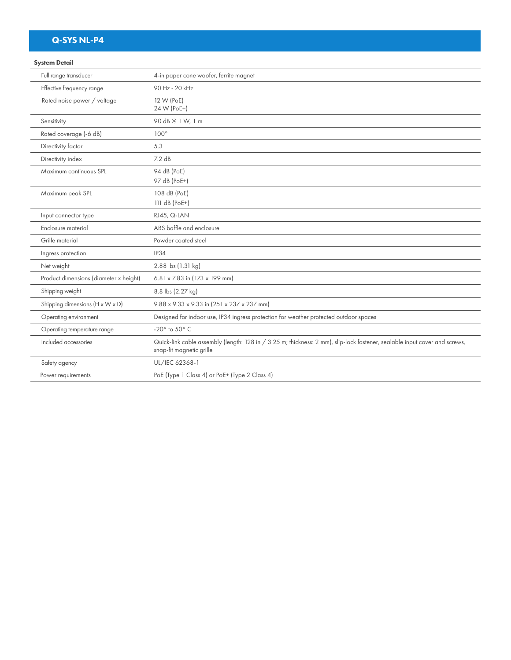# Q-SYS NL-P4

### System Detail

| Full range transducer                  | 4-in paper cone woofer, ferrite magnet                                                                                                                 |
|----------------------------------------|--------------------------------------------------------------------------------------------------------------------------------------------------------|
| Effective frequency range              | 90 Hz - 20 kHz                                                                                                                                         |
| Rated noise power / voltage            | 12 W (PoE)<br>24 W (PoE+)                                                                                                                              |
| Sensitivity                            | 90 dB@1W, 1 m                                                                                                                                          |
| Rated coverage (-6 dB)                 | $100^\circ$                                                                                                                                            |
| Directivity factor                     | 5.3                                                                                                                                                    |
| Directivity index                      | 7.2 dB                                                                                                                                                 |
| Maximum continuous SPL                 | 94 dB (PoE)<br>97 dB (PoE+)                                                                                                                            |
| Maximum peak SPL                       | 108 dB (PoE)<br>$111 dB (PoE+)$                                                                                                                        |
| Input connector type                   | RJ45, Q-LAN                                                                                                                                            |
| Enclosure material                     | ABS baffle and enclosure                                                                                                                               |
| Grille material                        | Powder coated steel                                                                                                                                    |
| Ingress protection                     | IP34                                                                                                                                                   |
| Net weight                             | 2.88 lbs (1.31 kg)                                                                                                                                     |
| Product dimensions (diameter x height) | 6.81 $\times$ 7.83 in (173 $\times$ 199 mm)                                                                                                            |
| Shipping weight                        | 8.8 lbs (2.27 kg)                                                                                                                                      |
| Shipping dimensions (H x W x D)        | 9.88 x 9.33 x 9.33 in (251 x 237 x 237 mm)                                                                                                             |
| Operating environment                  | Designed for indoor use, IP34 ingress protection for weather protected outdoor spaces                                                                  |
| Operating temperature range            | -20 $^{\circ}$ to 50 $^{\circ}$ C                                                                                                                      |
| Included accessories                   | Quick-link cable assembly (length: 128 in / 3.25 m; thickness: 2 mm), slip-lock fastener, sealable input cover and screws,<br>snap-fit magnetic grille |
| Safety agency                          | UL/IEC 62368-1                                                                                                                                         |
| Power requirements                     | PoE (Type 1 Class 4) or PoE+ (Type 2 Class 4)                                                                                                          |